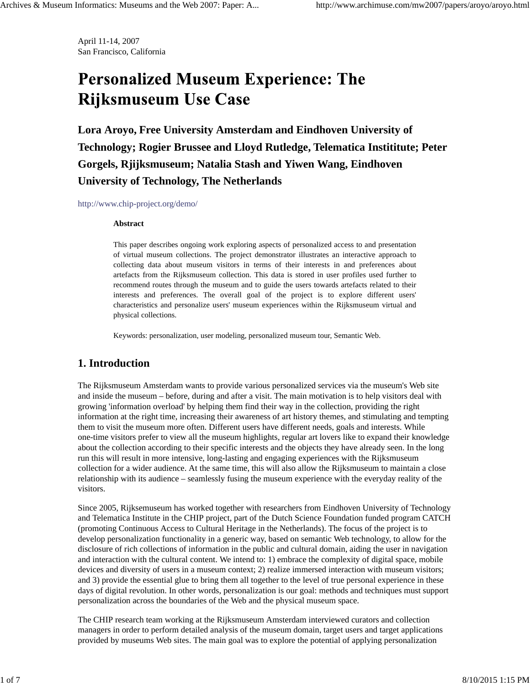April 11-14, 2007 San Francisco, California

## **Personalized Museum Experience: The Rijksmuseum Use Case**

**Lora Aroyo, Free University Amsterdam and Eindhoven University of Technology; Rogier Brussee and Lloyd Rutledge, Telematica Instititute; Peter Gorgels, Rjijksmuseum; Natalia Stash and Yiwen Wang, Eindhoven University of Technology, The Netherlands**

http://www.chip-project.org/demo/

#### **Abstract**

This paper describes ongoing work exploring aspects of personalized access to and presentation of virtual museum collections. The project demonstrator illustrates an interactive approach to collecting data about museum visitors in terms of their interests in and preferences about artefacts from the Rijksmuseum collection. This data is stored in user profiles used further to recommend routes through the museum and to guide the users towards artefacts related to their interests and preferences. The overall goal of the project is to explore different users' characteristics and personalize users' museum experiences within the Rijksmuseum virtual and physical collections.

Keywords: personalization, user modeling, personalized museum tour, Semantic Web.

#### **1. Introduction**

The Rijksmuseum Amsterdam wants to provide various personalized services via the museum's Web site and inside the museum – before, during and after a visit. The main motivation is to help visitors deal with growing 'information overload' by helping them find their way in the collection, providing the right information at the right time, increasing their awareness of art history themes, and stimulating and tempting them to visit the museum more often. Different users have different needs, goals and interests. While one-time visitors prefer to view all the museum highlights, regular art lovers like to expand their knowledge about the collection according to their specific interests and the objects they have already seen. In the long run this will result in more intensive, long-lasting and engaging experiences with the Rijksmuseum collection for a wider audience. At the same time, this will also allow the Rijksmuseum to maintain a close relationship with its audience – seamlessly fusing the museum experience with the everyday reality of the visitors.

Since 2005, Rijksemuseum has worked together with researchers from Eindhoven University of Technology and Telematica Institute in the CHIP project, part of the Dutch Science Foundation funded program CATCH (promoting Continuous Access to Cultural Heritage in the Netherlands). The focus of the project is to develop personalization functionality in a generic way, based on semantic Web technology, to allow for the disclosure of rich collections of information in the public and cultural domain, aiding the user in navigation and interaction with the cultural content. We intend to: 1) embrace the complexity of digital space, mobile devices and diversity of users in a museum context; 2) realize immersed interaction with museum visitors; and 3) provide the essential glue to bring them all together to the level of true personal experience in these days of digital revolution. In other words, personalization is our goal: methods and techniques must support personalization across the boundaries of the Web and the physical museum space.

The CHIP research team working at the Rijksmuseum Amsterdam interviewed curators and collection managers in order to perform detailed analysis of the museum domain, target users and target applications provided by museums Web sites. The main goal was to explore the potential of applying personalization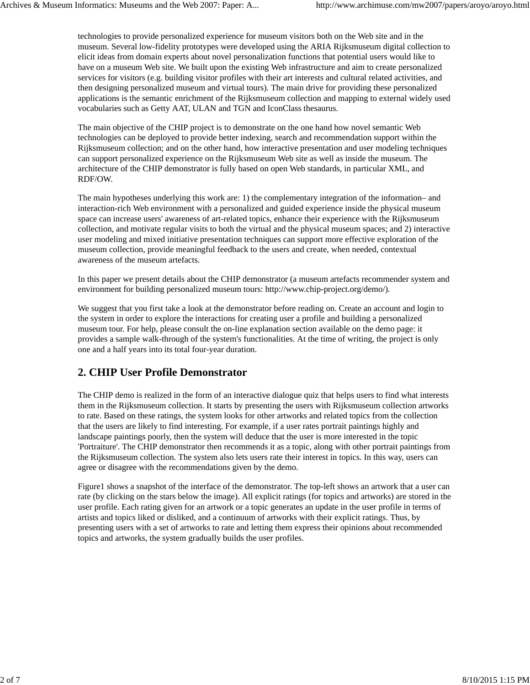technologies to provide personalized experience for museum visitors both on the Web site and in the museum. Several low-fidelity prototypes were developed using the ARIA Rijksmuseum digital collection to elicit ideas from domain experts about novel personalization functions that potential users would like to have on a museum Web site. We built upon the existing Web infrastructure and aim to create personalized services for visitors (e.g. building visitor profiles with their art interests and cultural related activities, and then designing personalized museum and virtual tours). The main drive for providing these personalized applications is the semantic enrichment of the Rijksmuseum collection and mapping to external widely used vocabularies such as Getty AAT, ULAN and TGN and IconClass thesaurus.

The main objective of the CHIP project is to demonstrate on the one hand how novel semantic Web technologies can be deployed to provide better indexing, search and recommendation support within the Rijksmuseum collection; and on the other hand, how interactive presentation and user modeling techniques can support personalized experience on the Rijksmuseum Web site as well as inside the museum. The architecture of the CHIP demonstrator is fully based on open Web standards, in particular XML, and RDF/OW.

The main hypotheses underlying this work are: 1) the complementary integration of the information– and interaction-rich Web environment with a personalized and guided experience inside the physical museum space can increase users' awareness of art-related topics, enhance their experience with the Rijksmuseum collection, and motivate regular visits to both the virtual and the physical museum spaces; and 2) interactive user modeling and mixed initiative presentation techniques can support more effective exploration of the museum collection, provide meaningful feedback to the users and create, when needed, contextual awareness of the museum artefacts.

In this paper we present details about the CHIP demonstrator (a museum artefacts recommender system and environment for building personalized museum tours: http://www.chip-project.org/demo/).

We suggest that you first take a look at the demonstrator before reading on. Create an account and login to the system in order to explore the interactions for creating user a profile and building a personalized museum tour. For help, please consult the on-line explanation section available on the demo page: it provides a sample walk-through of the system's functionalities. At the time of writing, the project is only one and a half years into its total four-year duration.

#### **2. CHIP User Profile Demonstrator**

The CHIP demo is realized in the form of an interactive dialogue quiz that helps users to find what interests them in the Rijksmuseum collection. It starts by presenting the users with Rijksmuseum collection artworks to rate. Based on these ratings, the system looks for other artworks and related topics from the collection that the users are likely to find interesting. For example, if a user rates portrait paintings highly and landscape paintings poorly, then the system will deduce that the user is more interested in the topic 'Portraiture'. The CHIP demonstrator then recommends it as a topic, along with other portrait paintings from the Rijksmuseum collection. The system also lets users rate their interest in topics. In this way, users can agree or disagree with the recommendations given by the demo.

Figure1 shows a snapshot of the interface of the demonstrator. The top-left shows an artwork that a user can rate (by clicking on the stars below the image). All explicit ratings (for topics and artworks) are stored in the user profile. Each rating given for an artwork or a topic generates an update in the user profile in terms of artists and topics liked or disliked, and a continuum of artworks with their explicit ratings. Thus, by presenting users with a set of artworks to rate and letting them express their opinions about recommended topics and artworks, the system gradually builds the user profiles.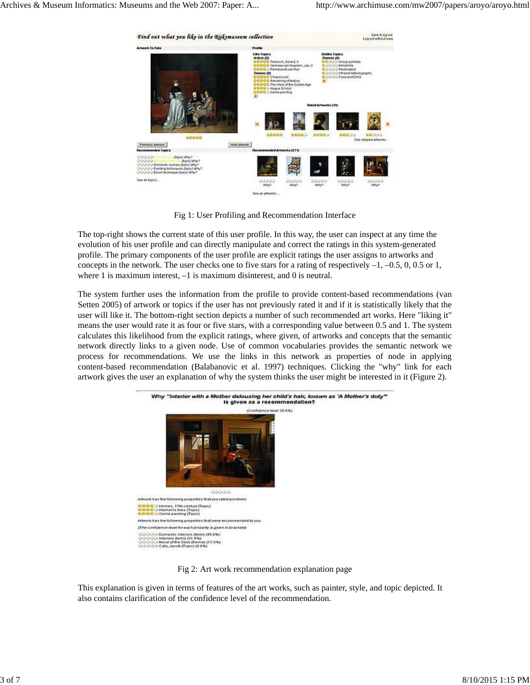

Fig 1: User Profiling and Recommendation Interface

The top-right shows the current state of this user profile. In this way, the user can inspect at any time the evolution of his user profile and can directly manipulate and correct the ratings in this system-generated profile. The primary components of the user profile are explicit ratings the user assigns to artworks and concepts in the network. The user checks one to five stars for a rating of respectively  $-1$ ,  $-0.5$ , 0, 0.5 or 1, where 1 is maximum interest, –1 is maximum disinterest, and 0 is neutral.

The system further uses the information from the profile to provide content-based recommendations (van Setten 2005) of artwork or topics if the user has not previously rated it and if it is statistically likely that the user will like it. The bottom-right section depicts a number of such recommended art works. Here "liking it" means the user would rate it as four or five stars, with a corresponding value between 0.5 and 1. The system calculates this likelihood from the explicit ratings, where given, of artworks and concepts that the semantic network directly links to a given node. Use of common vocabularies provides the semantic network we process for recommendations. We use the links in this network as properties of node in applying content-based recommendation (Balabanovic et al. 1997) techniques. Clicking the "why" link for each artwork gives the user an explanation of why the system thinks the user might be interested in it (Figure 2).



Fig 2: Art work recommendation explanation page

This explanation is given in terms of features of the art works, such as painter, style, and topic depicted. It also contains clarification of the confidence level of the recommendation.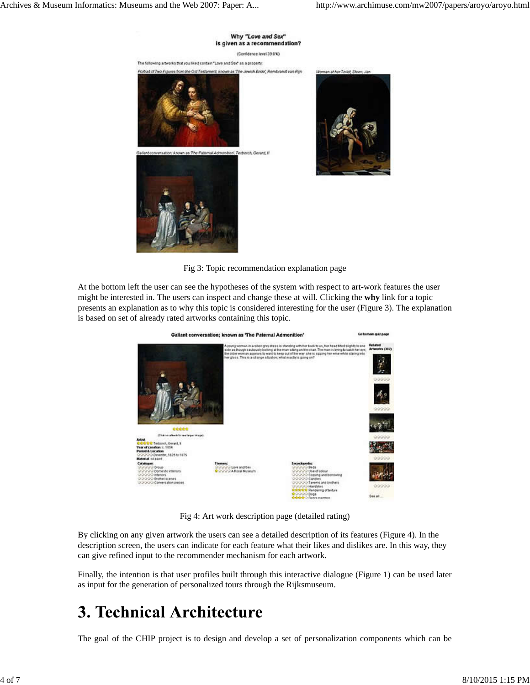an at her Todet Steen Jan



Fig 3: Topic recommendation explanation page

At the bottom left the user can see the hypotheses of the system with respect to art-work features the user might be interested in. The users can inspect and change these at will. Clicking the **why** link for a topic presents an explanation as to why this topic is considered interesting for the user (Figure 3). The explanation is based on set of already rated artworks containing this topic.



Fig 4: Art work description page (detailed rating)

By clicking on any given artwork the users can see a detailed description of its features (Figure 4). In the description screen, the users can indicate for each feature what their likes and dislikes are. In this way, they can give refined input to the recommender mechanism for each artwork.

Finally, the intention is that user profiles built through this interactive dialogue (Figure 1) can be used later as input for the generation of personalized tours through the Rijksmuseum.

## 3. Technical Architecture

The goal of the CHIP project is to design and develop a set of personalization components which can be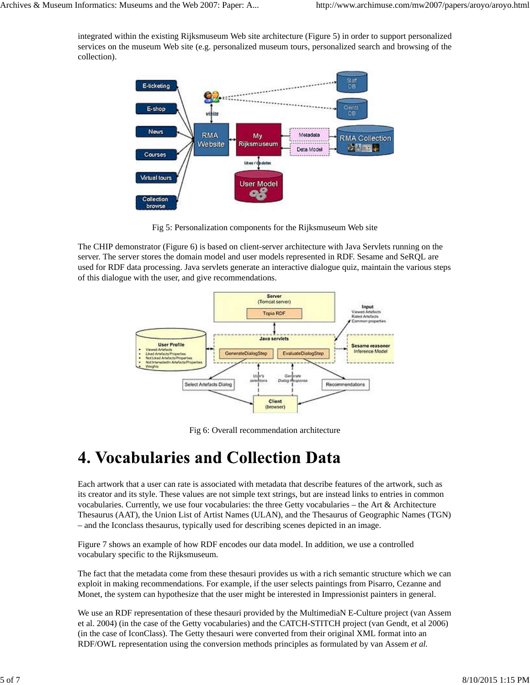integrated within the existing Rijksmuseum Web site architecture (Figure 5) in order to support personalized services on the museum Web site (e.g. personalized museum tours, personalized search and browsing of the collection).



Fig 5: Personalization components for the Rijksmuseum Web site

The CHIP demonstrator (Figure 6) is based on client-server architecture with Java Servlets running on the server. The server stores the domain model and user models represented in RDF. Sesame and SeRQL are used for RDF data processing. Java servlets generate an interactive dialogue quiz, maintain the various steps of this dialogue with the user, and give recommendations.



Fig 6: Overall recommendation architecture

### **4. Vocabularies and Collection Data**

Each artwork that a user can rate is associated with metadata that describe features of the artwork, such as its creator and its style. These values are not simple text strings, but are instead links to entries in common vocabularies. Currently, we use four vocabularies: the three Getty vocabularies – the Art & Architecture Thesaurus (AAT), the Union List of Artist Names (ULAN), and the Thesaurus of Geographic Names (TGN) – and the Iconclass thesaurus, typically used for describing scenes depicted in an image.

Figure 7 shows an example of how RDF encodes our data model. In addition, we use a controlled vocabulary specific to the Rijksmuseum.

The fact that the metadata come from these thesauri provides us with a rich semantic structure which we can exploit in making recommendations. For example, if the user selects paintings from Pisarro, Cezanne and Monet, the system can hypothesize that the user might be interested in Impressionist painters in general.

We use an RDF representation of these thesauri provided by the MultimediaN E-Culture project (van Assem et al. 2004) (in the case of the Getty vocabularies) and the CATCH-STITCH project (van Gendt, et al 2006) (in the case of IconClass). The Getty thesauri were converted from their original XML format into an RDF/OWL representation using the conversion methods principles as formulated by van Assem *et al.*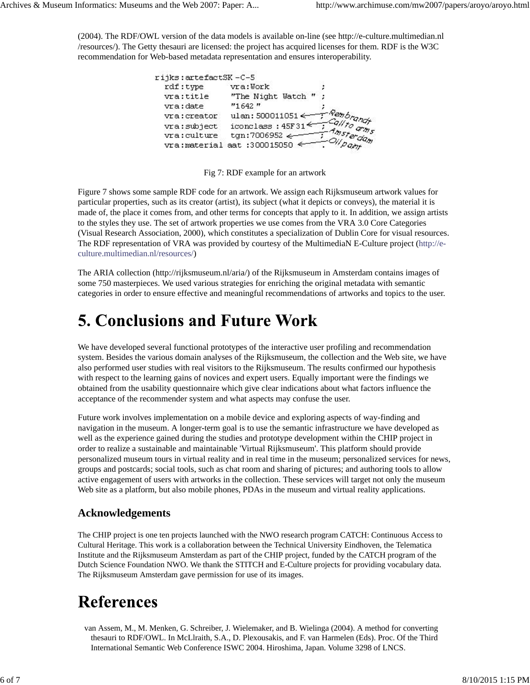(2004). The RDF/OWL version of the data models is available on-line (see http://e-culture.multimedian.nl /resources/). The Getty thesauri are licensed: the project has acquired licenses for them. RDF is the W3C recommendation for Web-based metadata representation and ensures interoperability.

| rijks:artefactSK-C-5 |                              |          |
|----------------------|------------------------------|----------|
| rdf:type             | vra: Work                    |          |
| vra:title            | "The Night Watch "           |          |
| vra:date             | "1642"                       |          |
| vra: creator         | ulan: 500011051 $\leq$       | embrandy |
| vra:subject          | iconclass: $45F31 \leq$      |          |
| vra: culture         | tgn:7006952 ←                |          |
|                      | vra: material aat: 300015050 |          |
|                      |                              |          |

Fig 7: RDF example for an artwork

Figure 7 shows some sample RDF code for an artwork. We assign each Rijksmuseum artwork values for particular properties, such as its creator (artist), its subject (what it depicts or conveys), the material it is made of, the place it comes from, and other terms for concepts that apply to it. In addition, we assign artists to the styles they use. The set of artwork properties we use comes from the VRA 3.0 Core Categories (Visual Research Association, 2000), which constitutes a specialization of Dublin Core for visual resources. The RDF representation of VRA was provided by courtesy of the MultimediaN E-Culture project (http://eculture.multimedian.nl/resources/)

The ARIA collection (http://rijksmuseum.nl/aria/) of the Rijksmuseum in Amsterdam contains images of some 750 masterpieces. We used various strategies for enriching the original metadata with semantic categories in order to ensure effective and meaningful recommendations of artworks and topics to the user.

### **5. Conclusions and Future Work**

We have developed several functional prototypes of the interactive user profiling and recommendation system. Besides the various domain analyses of the Rijksmuseum, the collection and the Web site, we have also performed user studies with real visitors to the Rijksmuseum. The results confirmed our hypothesis with respect to the learning gains of novices and expert users. Equally important were the findings we obtained from the usability questionnaire which give clear indications about what factors influence the acceptance of the recommender system and what aspects may confuse the user.

Future work involves implementation on a mobile device and exploring aspects of way-finding and navigation in the museum. A longer-term goal is to use the semantic infrastructure we have developed as well as the experience gained during the studies and prototype development within the CHIP project in order to realize a sustainable and maintainable 'Virtual Rijksmuseum'. This platform should provide personalized museum tours in virtual reality and in real time in the museum; personalized services for news, groups and postcards; social tools, such as chat room and sharing of pictures; and authoring tools to allow active engagement of users with artworks in the collection. These services will target not only the museum Web site as a platform, but also mobile phones, PDAs in the museum and virtual reality applications.

#### **Acknowledgements**

The CHIP project is one ten projects launched with the NWO research program CATCH: Continuous Access to Cultural Heritage. This work is a collaboration between the Technical University Eindhoven, the Telematica Institute and the Rijksmuseum Amsterdam as part of the CHIP project, funded by the CATCH program of the Dutch Science Foundation NWO. We thank the STITCH and E-Culture projects for providing vocabulary data. The Rijksmuseum Amsterdam gave permission for use of its images.

# **References**

van Assem, M., M. Menken, G. Schreiber, J. Wielemaker, and B. Wielinga (2004). A method for converting thesauri to RDF/OWL. In McLlraith, S.A., D. Plexousakis, and F. van Harmelen (Eds). Proc. Of the Third International Semantic Web Conference ISWC 2004. Hiroshima, Japan. Volume 3298 of LNCS.